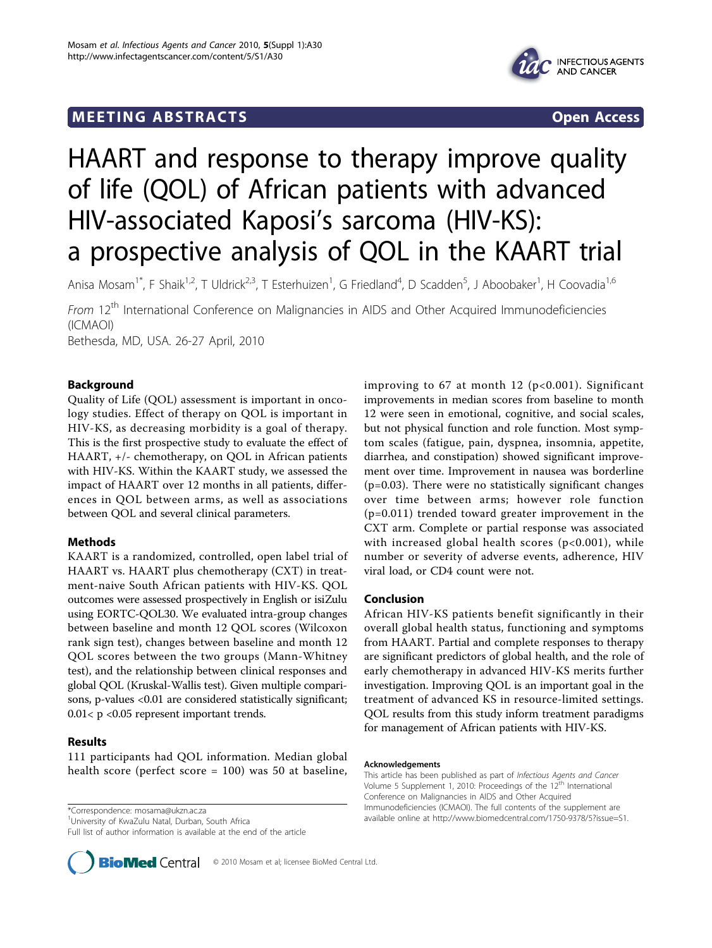# **MEETING ABSTRACTS** THE RESERVING ABSOLUTE A SERVICE SERVICES AND SERVICES OPEN ACCESS



# HAART and response to therapy improve quality of life (QOL) of African patients with advanced HIV-associated Kaposi's sarcoma (HIV-KS): a prospective analysis of QOL in the KAART trial

Anisa Mosam<sup>1\*</sup>, F Shaik<sup>1,2</sup>, T Uldrick<sup>2,3</sup>, T Esterhuizen<sup>1</sup>, G Friedland<sup>4</sup>, D Scadden<sup>5</sup>, J Aboobaker<sup>1</sup>, H Coovadia<sup>1,6</sup>

From 12<sup>th</sup> International Conference on Malignancies in AIDS and Other Acquired Immunodeficiencies (ICMAOI) Bethesda, MD, USA. 26-27 April, 2010

Background

Quality of Life (QOL) assessment is important in oncology studies. Effect of therapy on QOL is important in HIV-KS, as decreasing morbidity is a goal of therapy. This is the first prospective study to evaluate the effect of HAART, +/- chemotherapy, on QOL in African patients with HIV-KS. Within the KAART study, we assessed the impact of HAART over 12 months in all patients, differences in QOL between arms, as well as associations between QOL and several clinical parameters.

# Methods

KAART is a randomized, controlled, open label trial of HAART vs. HAART plus chemotherapy (CXT) in treatment-naive South African patients with HIV-KS. QOL outcomes were assessed prospectively in English or isiZulu using EORTC-QOL30. We evaluated intra-group changes between baseline and month 12 QOL scores (Wilcoxon rank sign test), changes between baseline and month 12 QOL scores between the two groups (Mann-Whitney test), and the relationship between clinical responses and global QOL (Kruskal-Wallis test). Given multiple comparisons, p-values <0.01 are considered statistically significant; 0.01< p <0.05 represent important trends.

# Results

111 participants had QOL information. Median global health score (perfect score = 100) was 50 at baseline,

<sup>1</sup>University of KwaZulu Natal, Durban, South Africa

Full list of author information is available at the end of the article



improving to 67 at month 12 (p<0.001). Significant improvements in median scores from baseline to month 12 were seen in emotional, cognitive, and social scales, but not physical function and role function. Most symptom scales (fatigue, pain, dyspnea, insomnia, appetite, diarrhea, and constipation) showed significant improvement over time. Improvement in nausea was borderline  $(p=0.03)$ . There were no statistically significant changes over time between arms; however role function (p=0.011) trended toward greater improvement in the CXT arm. Complete or partial response was associated with increased global health scores  $(p<0.001)$ , while number or severity of adverse events, adherence, HIV viral load, or CD4 count were not.

### Conclusion

African HIV-KS patients benefit significantly in their overall global health status, functioning and symptoms from HAART. Partial and complete responses to therapy are significant predictors of global health, and the role of early chemotherapy in advanced HIV-KS merits further investigation. Improving QOL is an important goal in the treatment of advanced KS in resource-limited settings. QOL results from this study inform treatment paradigms for management of African patients with HIV-KS.

#### Acknowledgements

This article has been published as part of Infectious Agents and Cancer Volume 5 Supplement 1, 2010: Proceedings of the 12<sup>th</sup> International Conference on Malignancies in AIDS and Other Acquired Immunodeficiencies (ICMAOI). The full contents of the supplement are available online at [http://www.biomedcentral.com/1750-9378/5?issue=S1.](http://www.biomedcentral.com/1750-9378/5?issue=S1) \*Correspondence: [mosama@ukzn.ac.za](mailto:mosama@ukzn.ac.za)